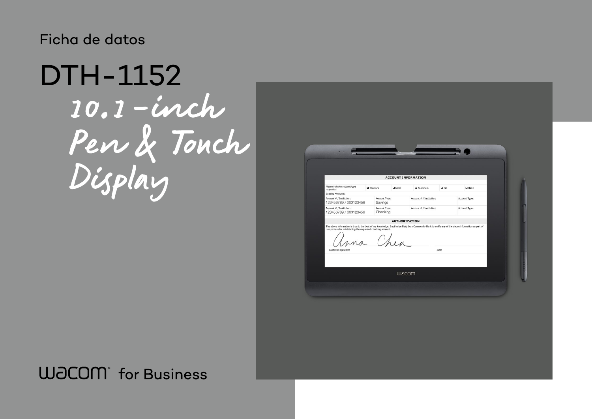## Ficha de datos

10.1-inch Pen & Touch Display DTH-1152

## **WJCOM** for Business

|                                                                                                                                                                              |  |                           |              | <b>ACCOUNT INFORMATION</b> |      |
|------------------------------------------------------------------------------------------------------------------------------------------------------------------------------|--|---------------------------|--------------|----------------------------|------|
| Please indicate account type<br>requested                                                                                                                                    |  | <b>20 Titanium</b>        | $\Box$ Steel | <b>Q</b> Aluminum          |      |
| <b>Existing Accounts:</b>                                                                                                                                                    |  |                           |              |                            |      |
| Account # / Institution:<br>123456789 / 000123456                                                                                                                            |  | Account Type:<br>Savings  |              | Account # / Institution:   |      |
| Account # / Institution:<br>123456789 / 000123456                                                                                                                            |  | Account Type:<br>Checking |              | Account # / Institution:   |      |
|                                                                                                                                                                              |  |                           |              | <b>AUTHORIZATION</b>       |      |
| The above information is true to the best of my knowledge. I authorize Neighbors Community Bank to verify an<br>due process for establishing the requested checking account. |  | Chen                      |              |                            |      |
| Customer signature                                                                                                                                                           |  |                           |              |                            | Date |